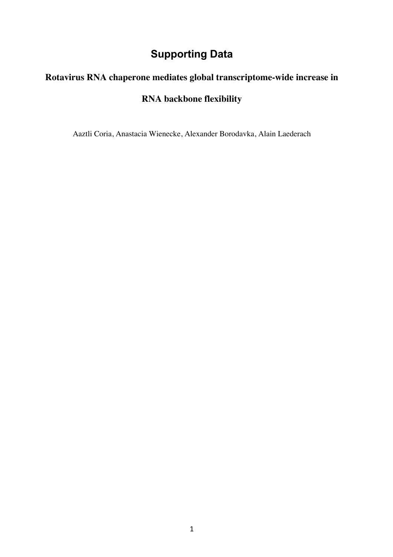## **Supporting Data**

## **Rotavirus RNA chaperone mediates global transcriptome-wide increase in**

## **RNA backbone flexibility**

Aaztli Coria, Anastacia Wienecke, Alexander Borodavka, Alain Laederach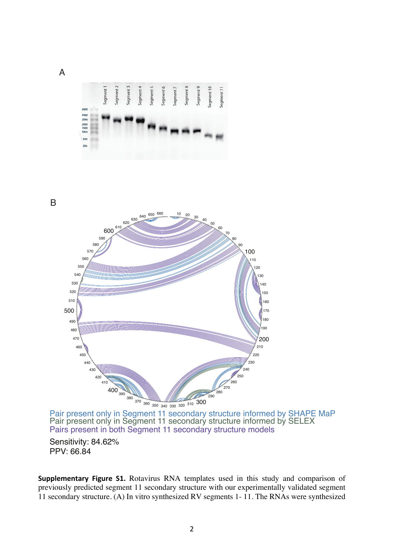

Sensitivity: 84.62% PPV: 66.84

Supplementary Figure S1. Rotavirus RNA templates used in this study and comparison of previously predicted segment 11 secondary structure with our experimentally validated segment 11 secondary structure. (A) In vitro synthesized RV segments 1-11. The RNAs were synthesized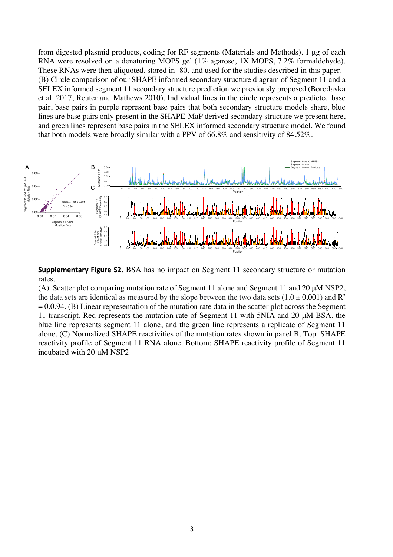from digested plasmid products, coding for RF segments (Materials and Methods). 1 μg of each RNA were resolved on a denaturing MOPS gel (1% agarose, 1X MOPS, 7.2% formaldehyde). These RNAs were then aliquoted, stored in -80, and used for the studies described in this paper. (B) Circle comparison of our SHAPE informed secondary structure diagram of Segment 11 and a SELEX informed segment 11 secondary structure prediction we previously proposed (Borodavka et al. 2017; Reuter and Mathews 2010). Individual lines in the circle represents a predicted base pair, base pairs in purple represent base pairs that both secondary structure models share, blue lines are base pairs only present in the SHAPE-MaP derived secondary structure we present here, and green lines represent base pairs in the SELEX informed secondary structure model. We found that both models were broadly similar with a PPV of 66.8% and sensitivity of 84.52%.



**Supplementary Figure S2.** BSA has no impact on Segment 11 secondary structure or mutation rates.

(A) Scatter plot comparing mutation rate of Segment 11 alone and Segment 11 and 20 μM NSP2, the data sets are identical as measured by the slope between the two data sets  $(1.0 \pm 0.001)$  and R<sup>2</sup>  $= 0.0.94$ . (B) Linear representation of the mutation rate data in the scatter plot across the Segment 11 transcript. Red represents the mutation rate of Segment 11 with 5NIA and 20 μM BSA, the blue line represents segment 11 alone, and the green line represents a replicate of Segment 11 alone. (C) Normalized SHAPE reactivities of the mutation rates shown in panel B. Top: SHAPE reactivity profile of Segment 11 RNA alone. Bottom: SHAPE reactivity profile of Segment 11 incubated with 20 μM NSP2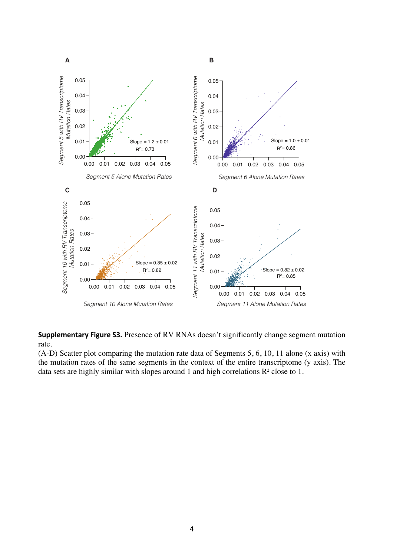

**Supplementary Figure S3.** Presence of RV RNAs doesn't significantly change segment mutation rate.

(A-D) Scatter plot comparing the mutation rate data of Segments 5, 6, 10, 11 alone (x axis) with the mutation rates of the same segments in the context of the entire transcriptome (y axis). The data sets are highly similar with slopes around 1 and high correlations  $\mathbb{R}^2$  close to 1.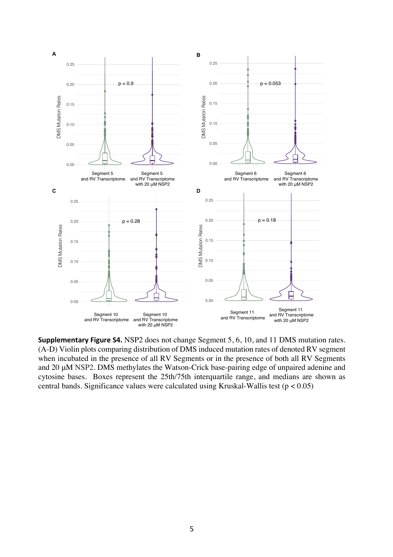

**Supplementary Figure S4.** NSP2 does not change Segment 5, 6, 10, and 11 DMS mutation rates. (A-D) Violin plots comparing distribution of DMS induced mutation rates of denoted RV segment when incubated in the presence of all RV Segments or in the presence of both all RV Segments and 20 μM NSP2. DMS methylates the Watson-Crick base-pairing edge of unpaired adenine and cytosine bases. Boxes represent the 25th/75th interquartile range, and medians are shown as central bands. Significance values were calculated using Kruskal-Wallis test ( $p < 0.05$ )